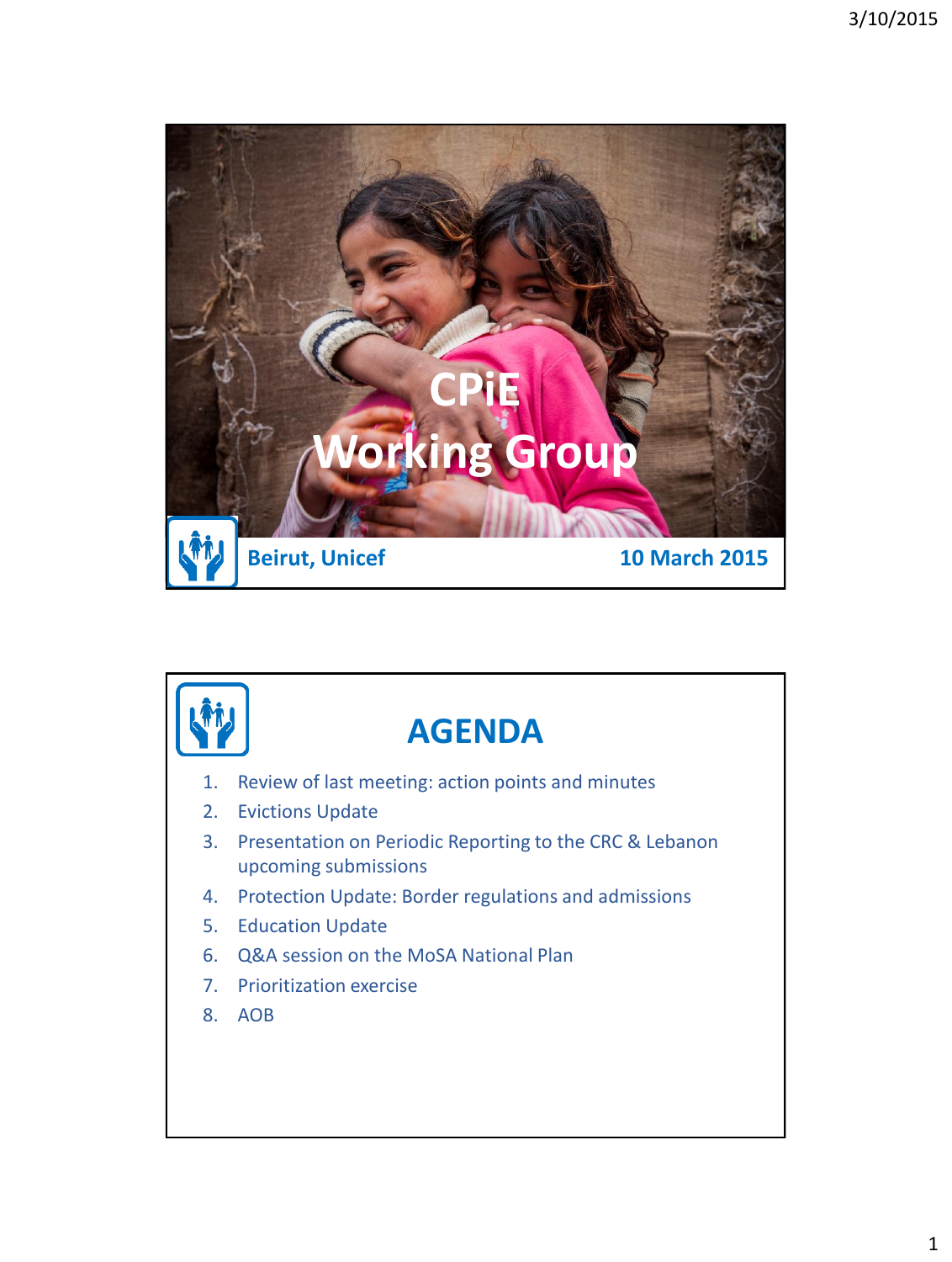

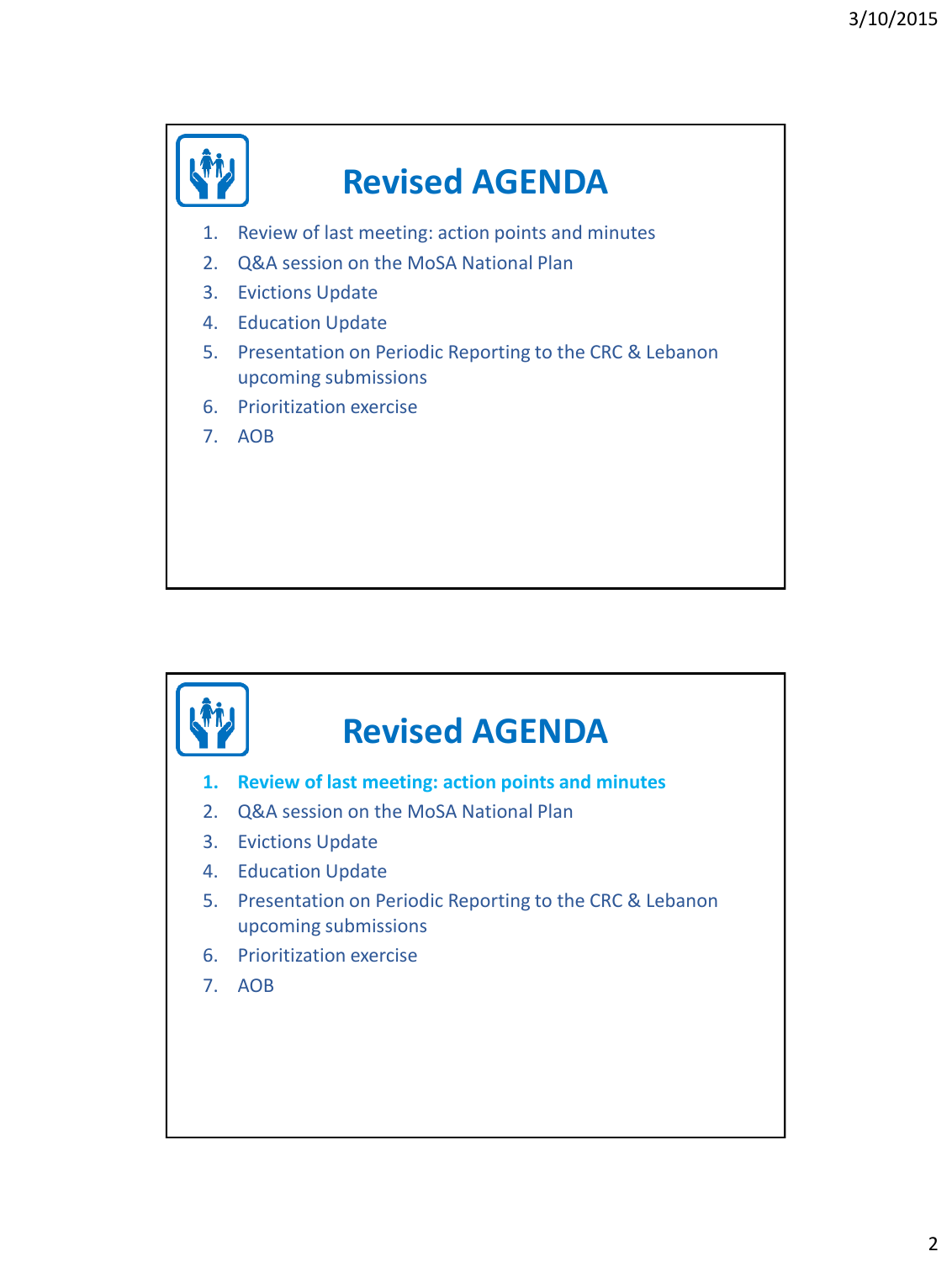

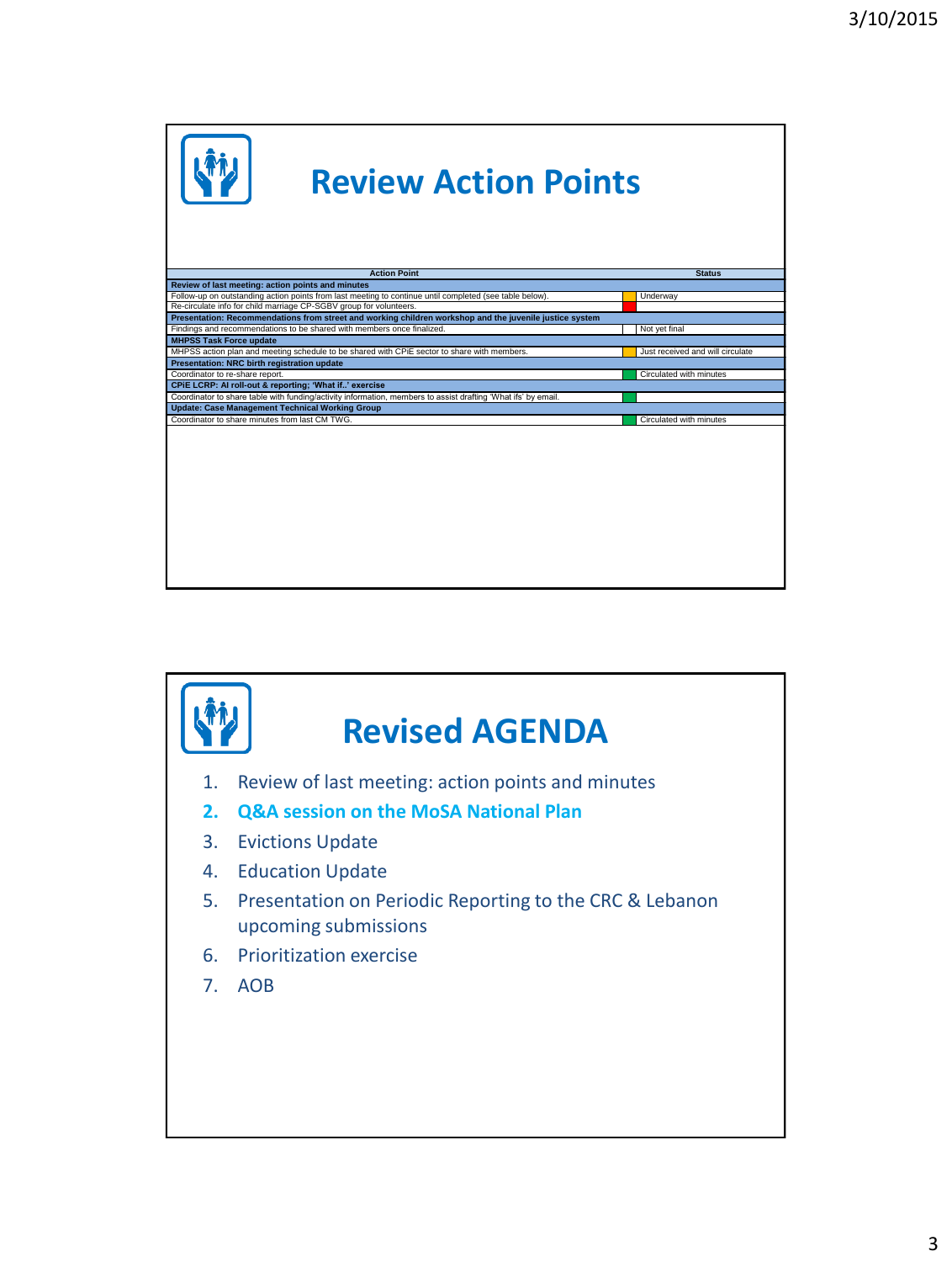

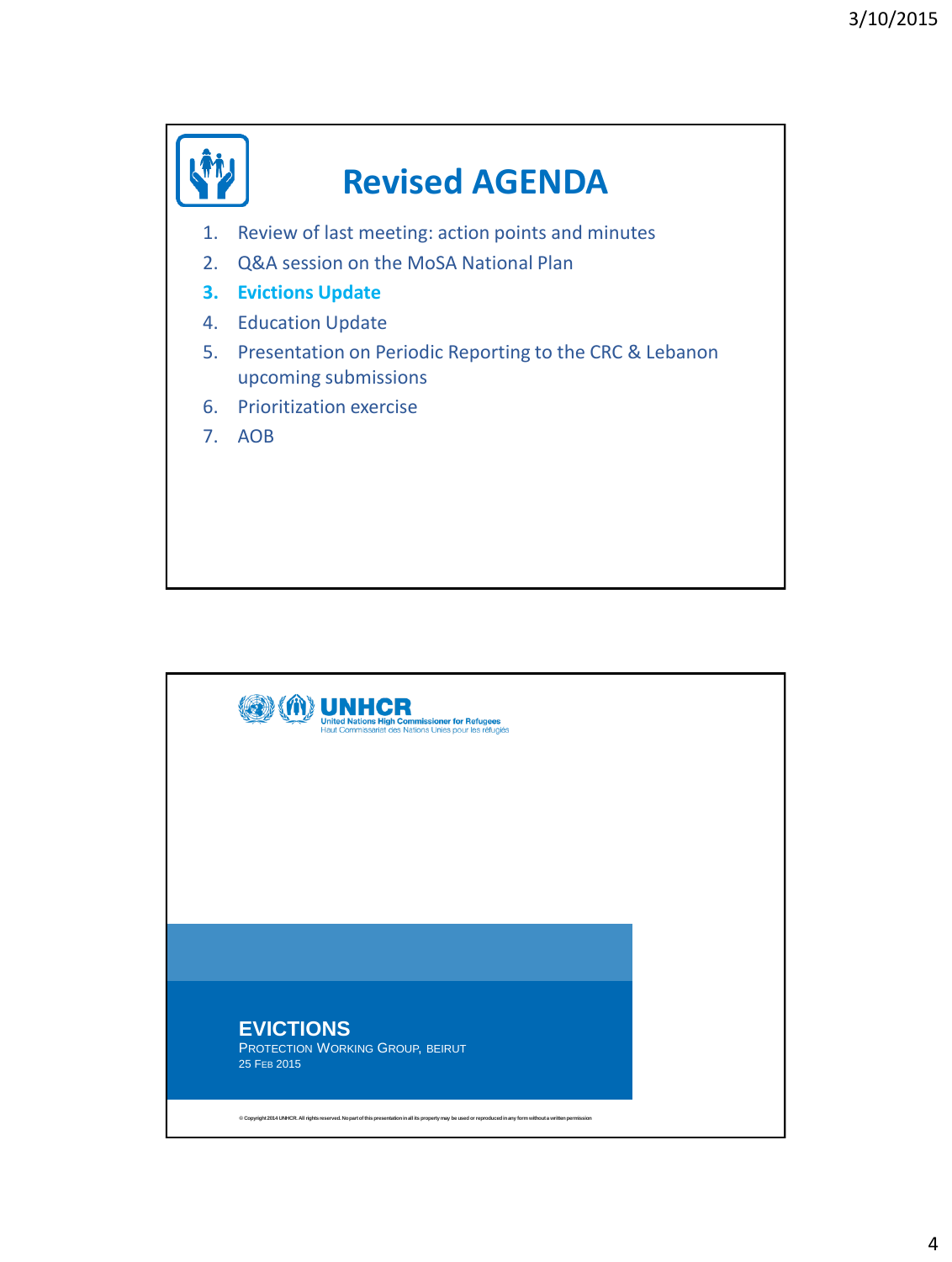

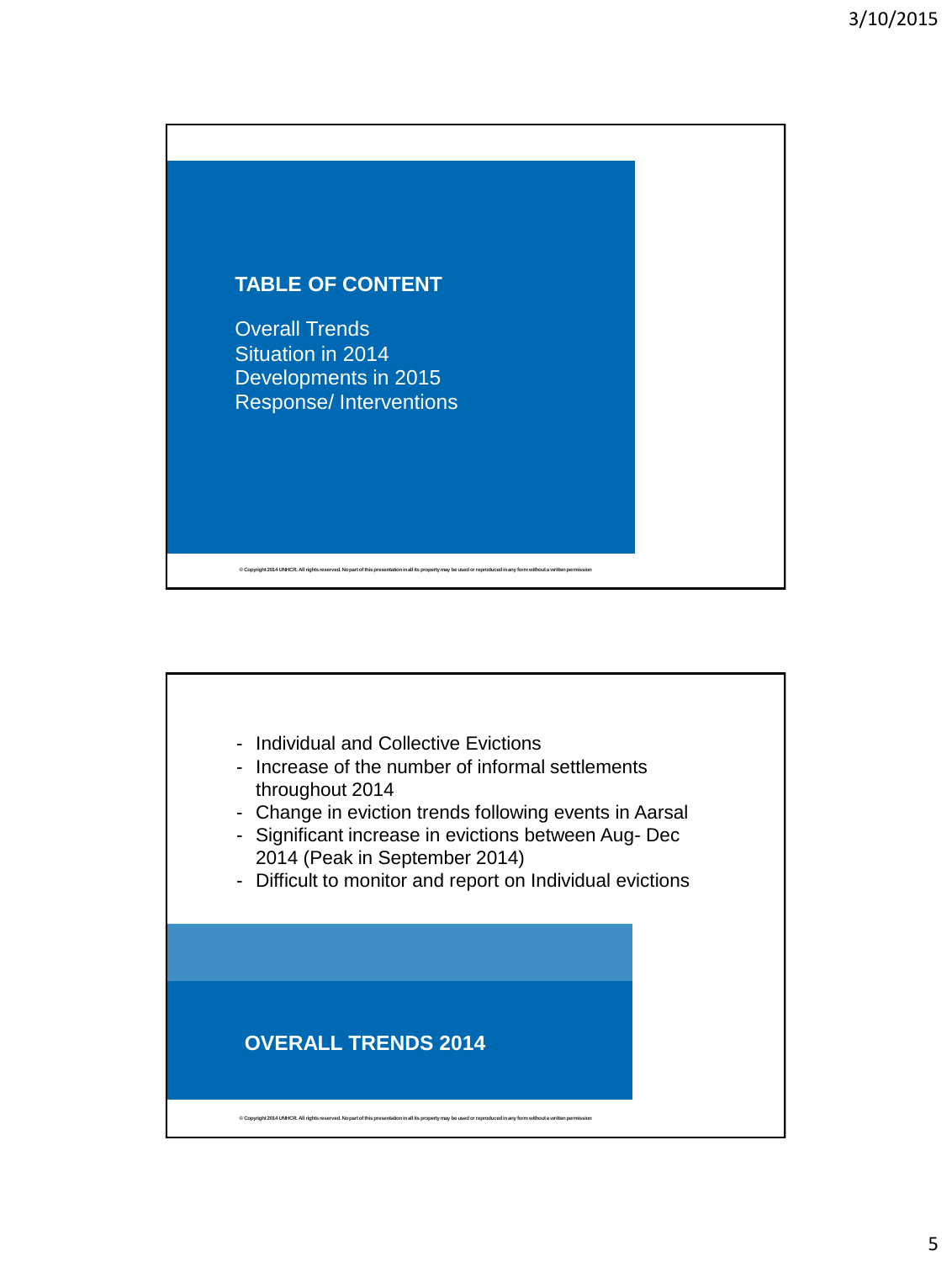

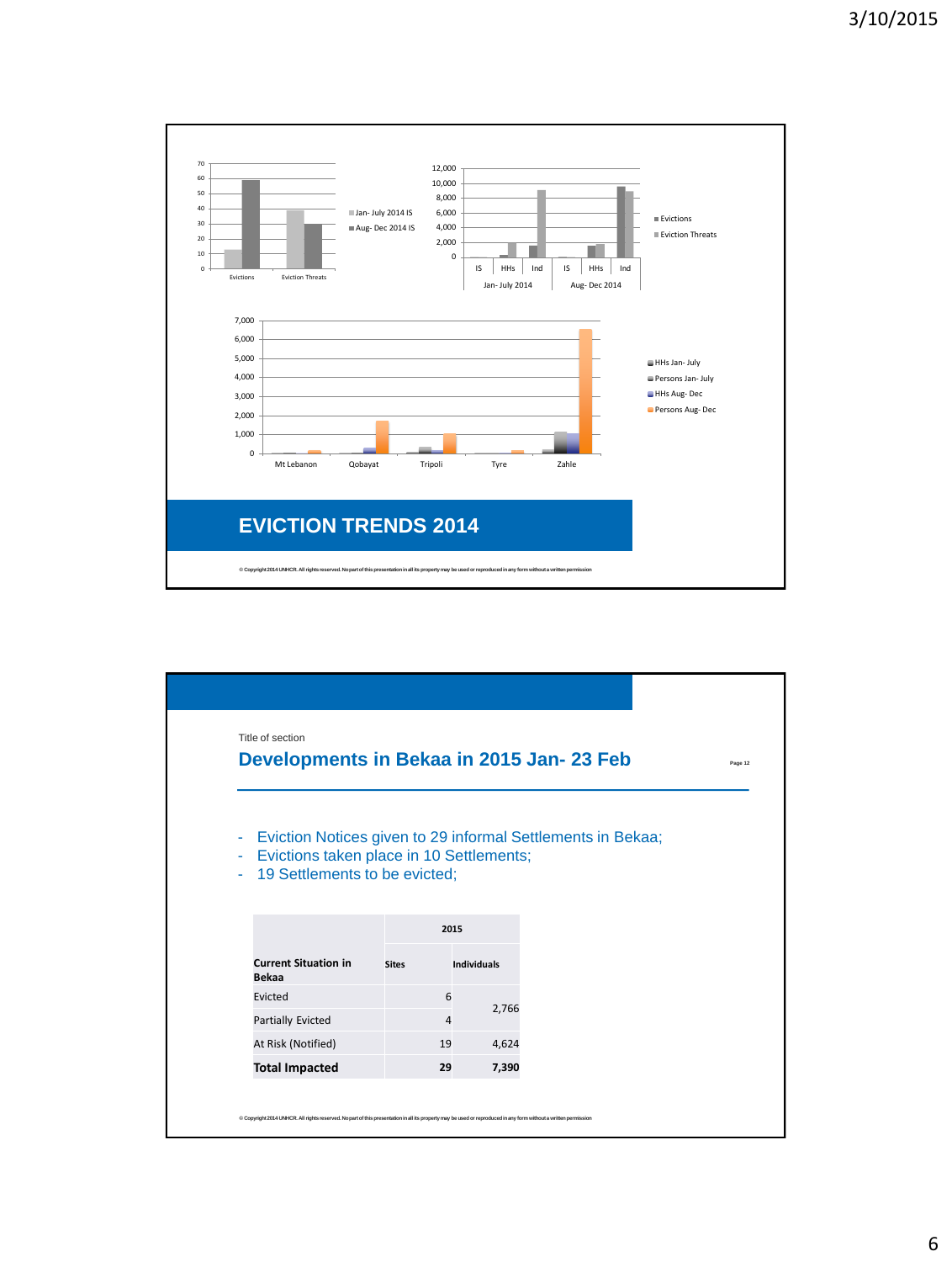

|                                                                                           |              |                    | Developments in Bekaa in 2015 Jan-23 Feb                    | Page 12 |
|-------------------------------------------------------------------------------------------|--------------|--------------------|-------------------------------------------------------------|---------|
| ۰<br>Evictions taken place in 10 Settlements;<br>÷<br>19 Settlements to be evicted;<br>÷. |              |                    | Eviction Notices given to 29 informal Settlements in Bekaa; |         |
|                                                                                           | 2015         |                    |                                                             |         |
| <b>Current Situation in</b>                                                               | <b>Sites</b> | <b>Individuals</b> |                                                             |         |
| <b>Bekaa</b><br>Evicted                                                                   | 6            |                    |                                                             |         |
| Partially Evicted                                                                         | 4            | 2,766              |                                                             |         |
| At Risk (Notified)                                                                        | 19           | 4,624              |                                                             |         |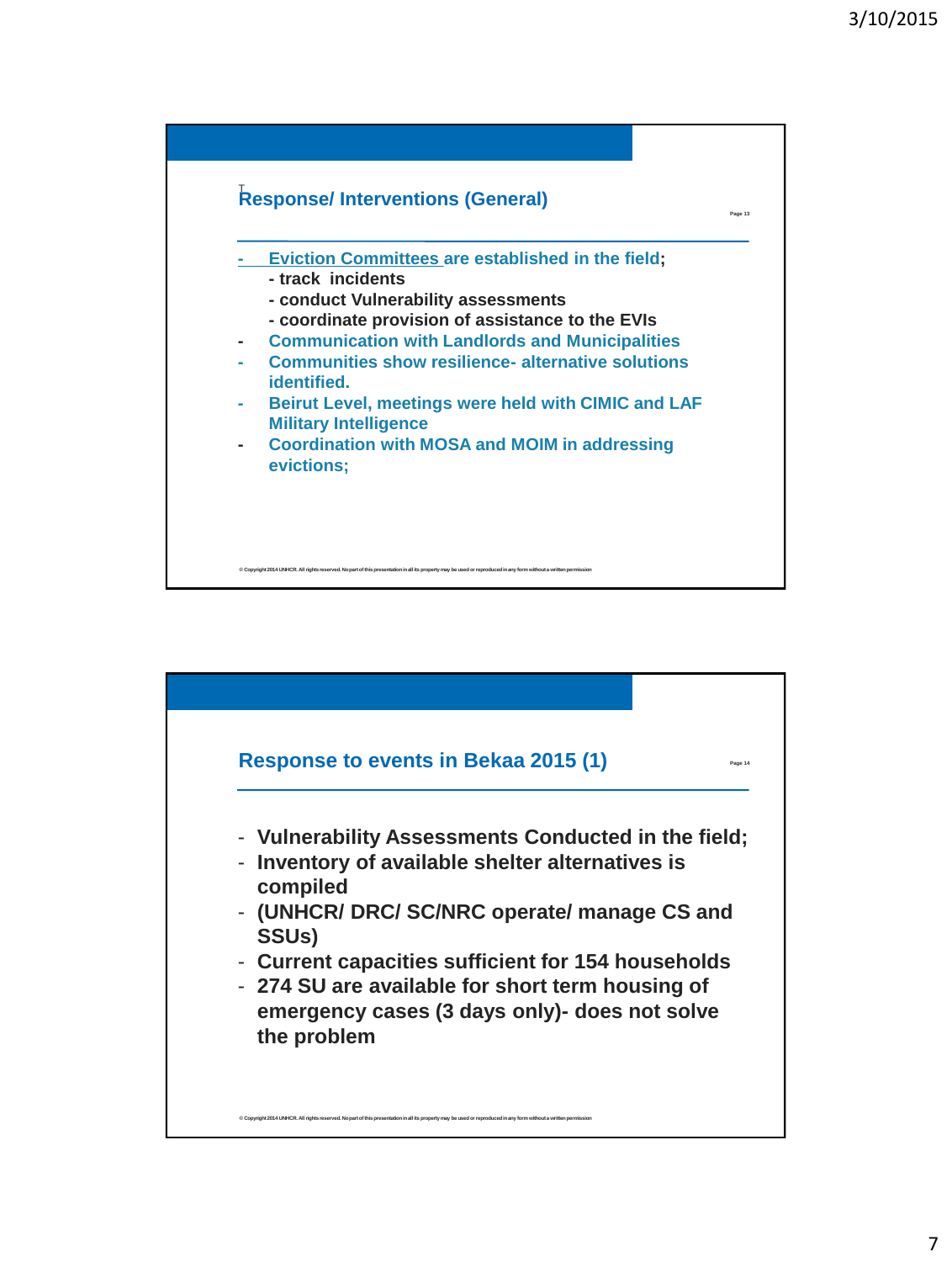

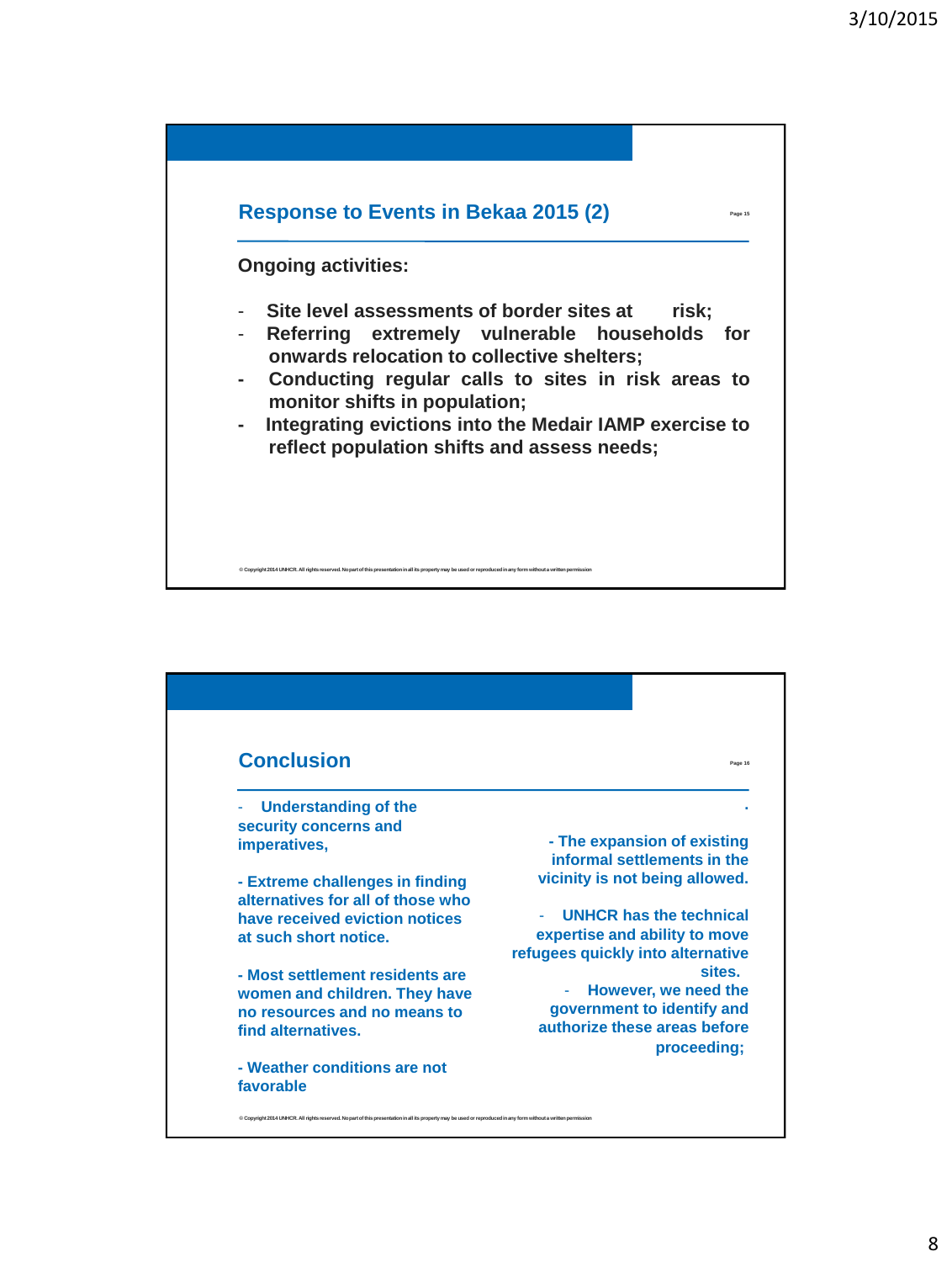

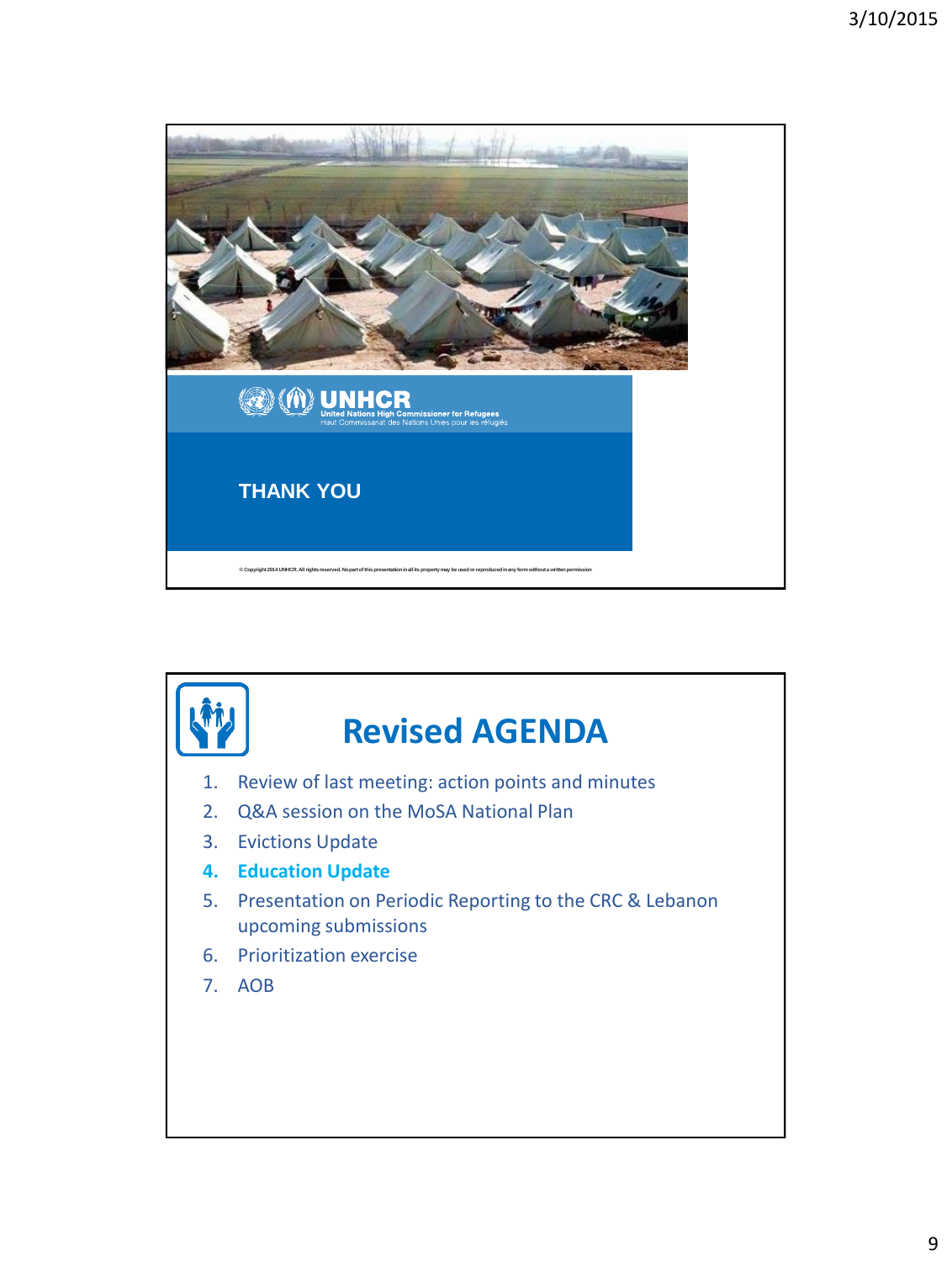

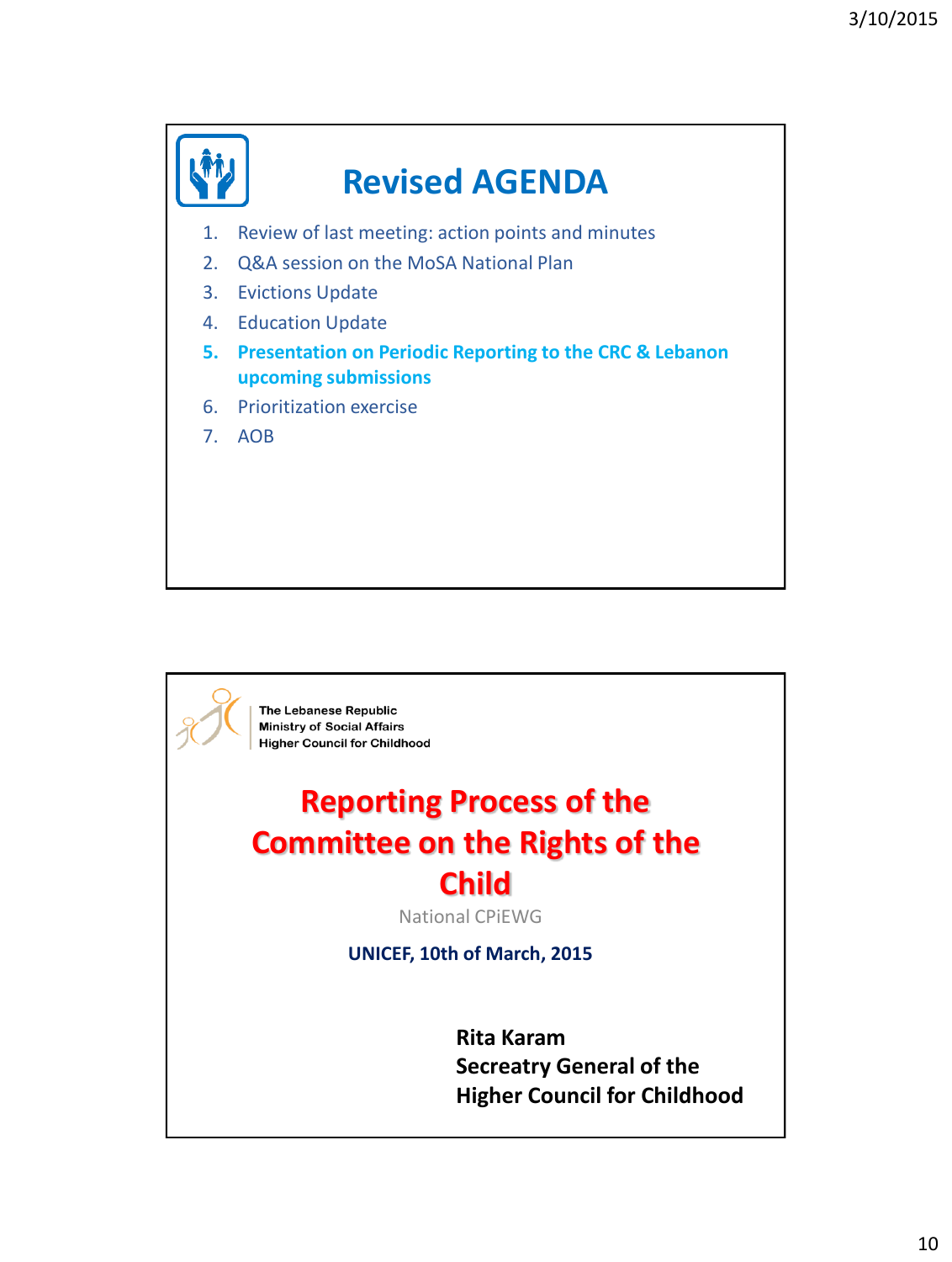

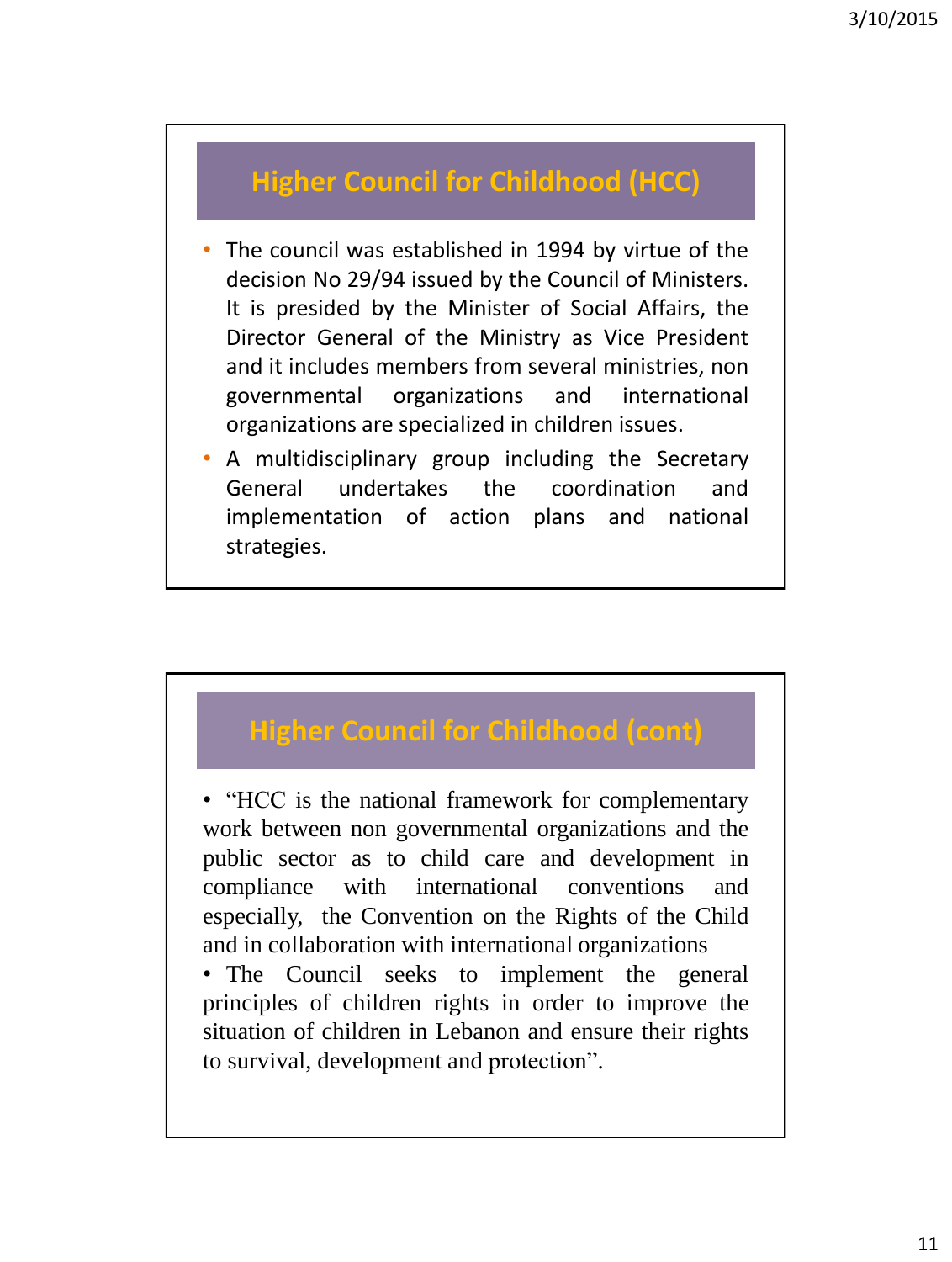## **Higher Council for Childhood (HCC)**

- The council was established in 1994 by virtue of the decision No 29/94 issued by the Council of Ministers. It is presided by the Minister of Social Affairs, the Director General of the Ministry as Vice President and it includes members from several ministries, non governmental organizations and international organizations are specialized in children issues.
- A multidisciplinary group including the Secretary General undertakes the coordination and implementation of action plans and national strategies.

## **Higher Council for Childhood (cont)**

• "HCC is the national framework for complementary work between non governmental organizations and the public sector as to child care and development in compliance with international conventions and especially, the Convention on the Rights of the Child and in collaboration with international organizations

• The Council seeks to implement the general principles of children rights in order to improve the situation of children in Lebanon and ensure their rights to survival, development and protection".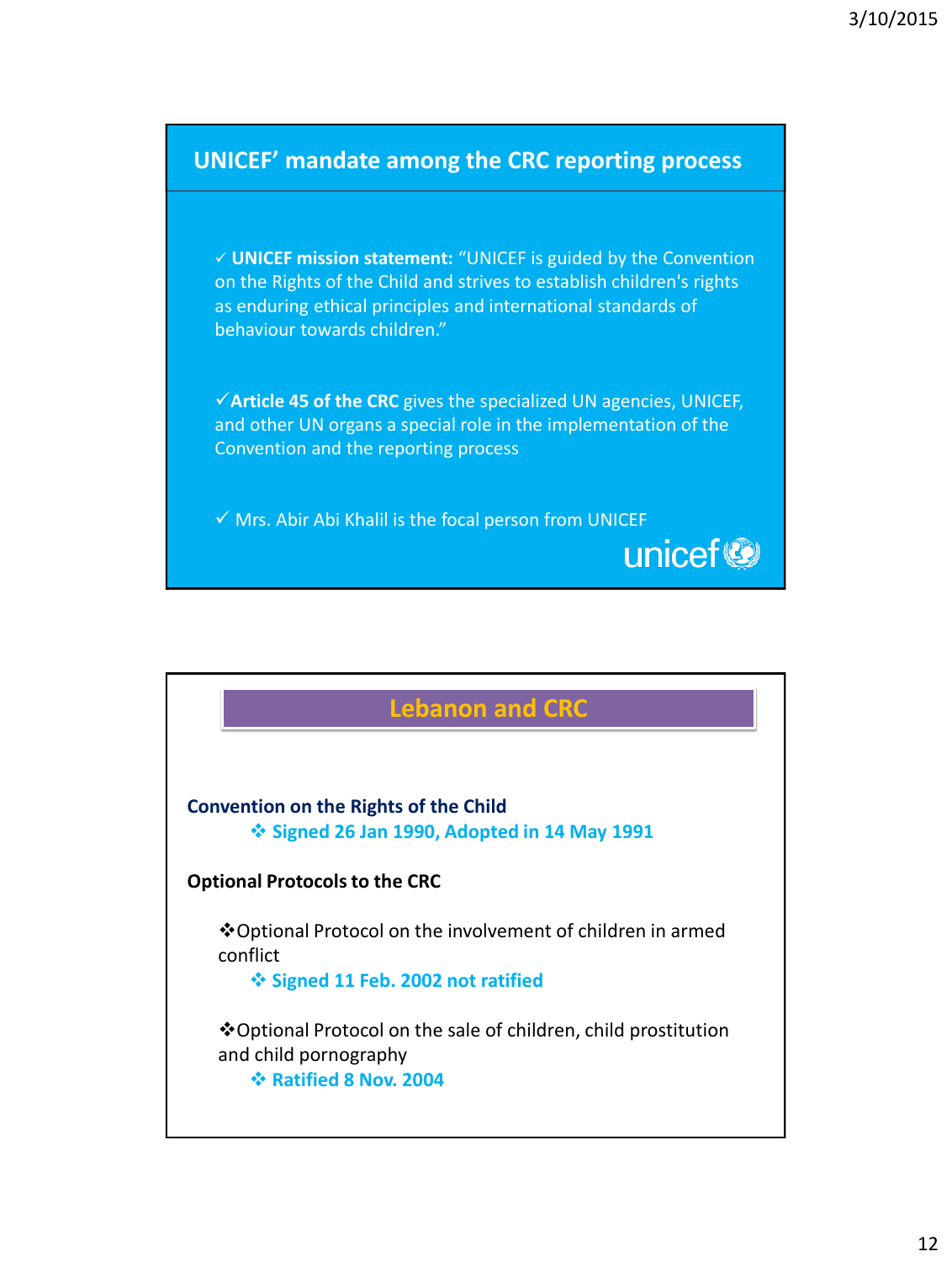

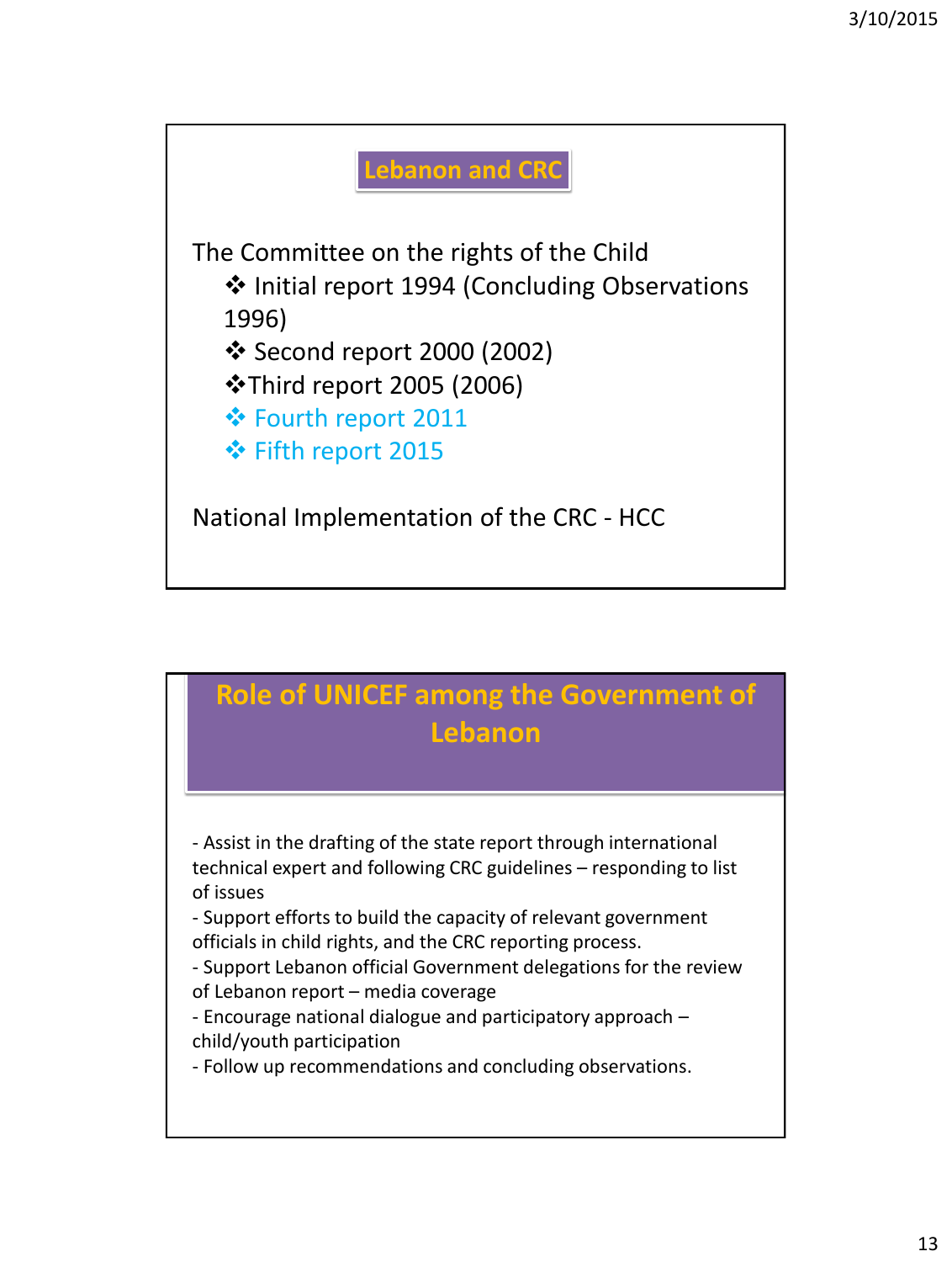

## **Role of UNICEF among the Government of Lebanon**

- Assist in the drafting of the state report through international technical expert and following CRC guidelines – responding to list of issues

- Support efforts to build the capacity of relevant government officials in child rights, and the CRC reporting process.

- Support Lebanon official Government delegations for the review of Lebanon report – media coverage

- Encourage national dialogue and participatory approach – child/youth participation

- Follow up recommendations and concluding observations.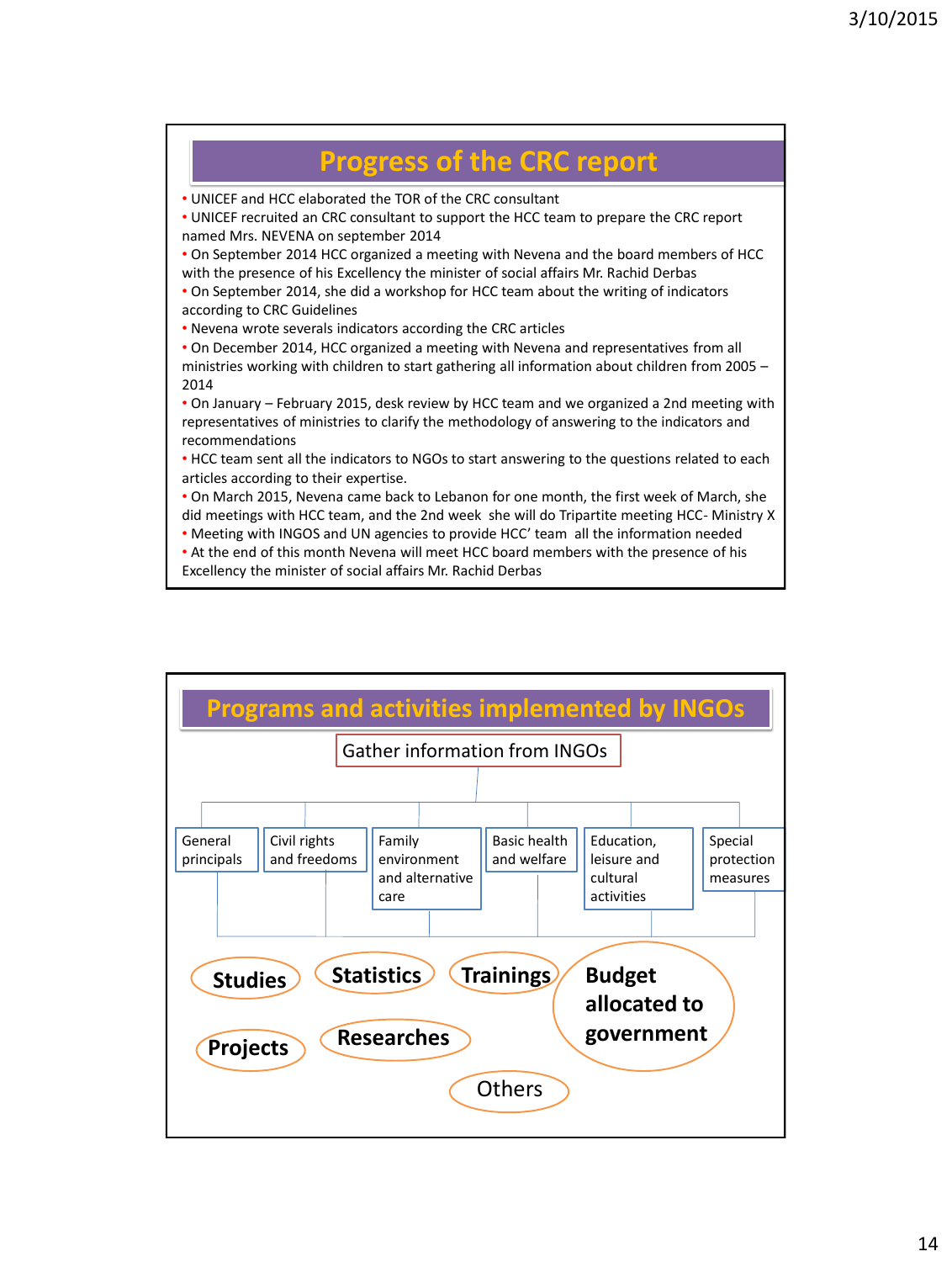

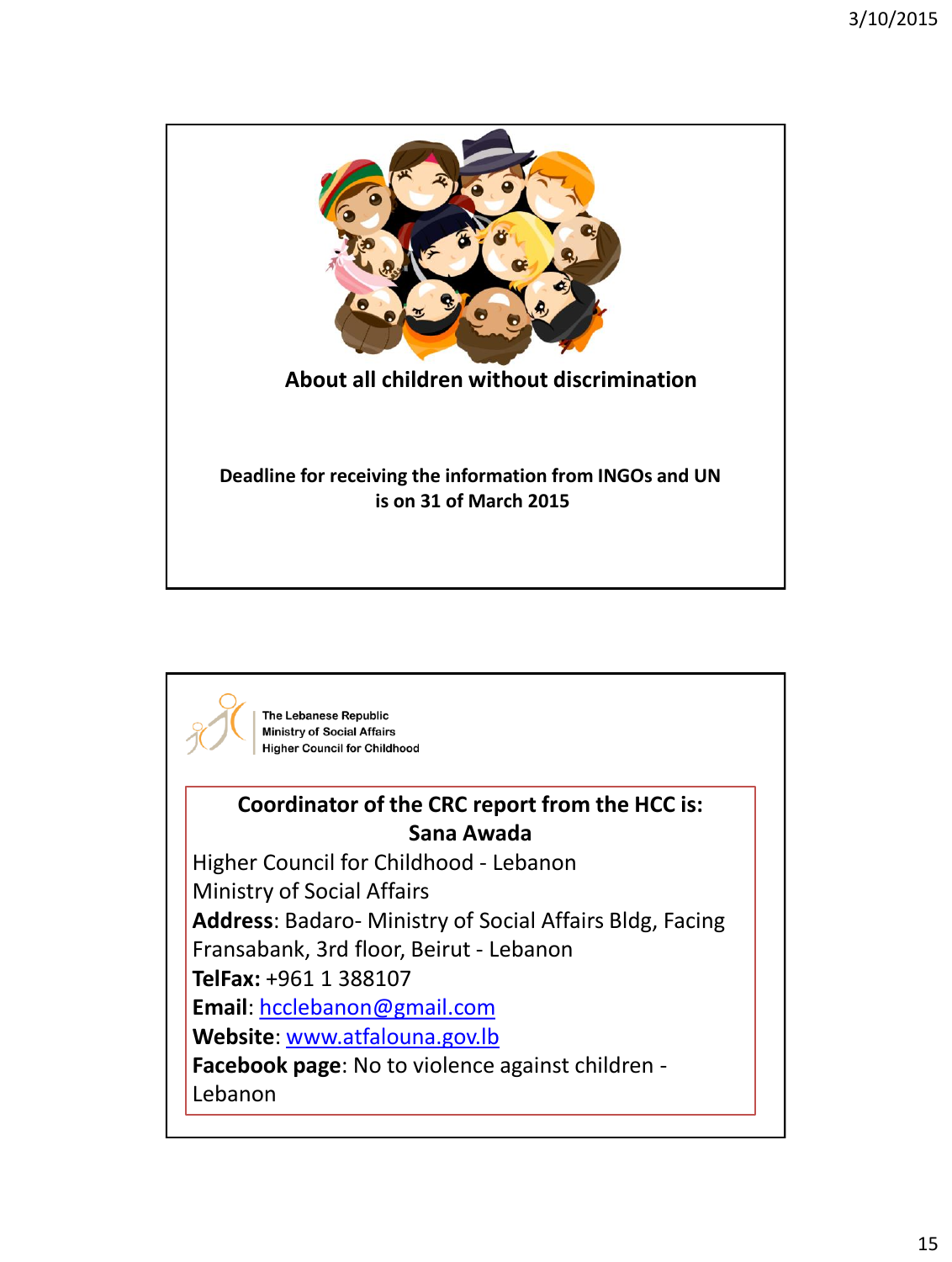

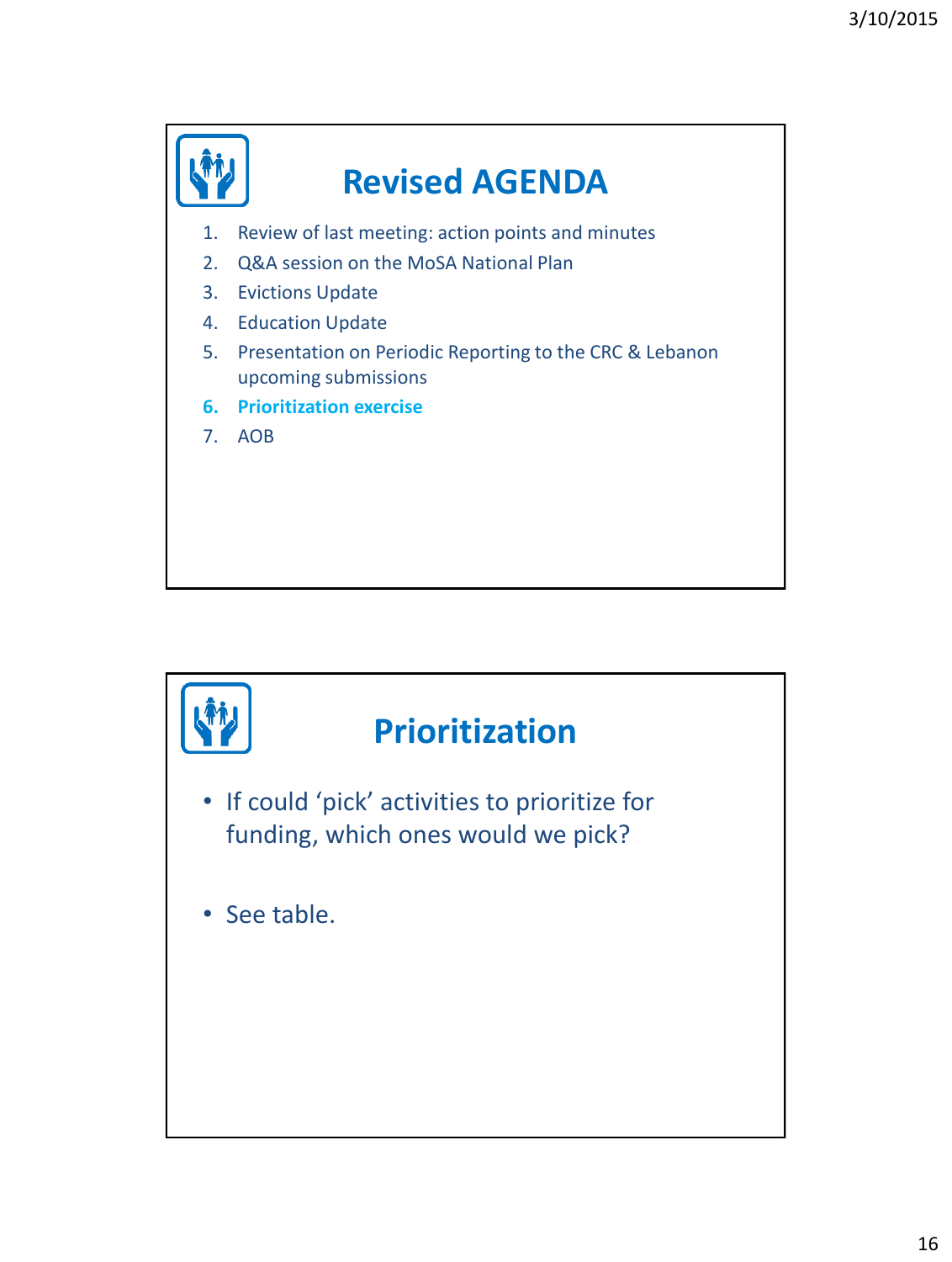